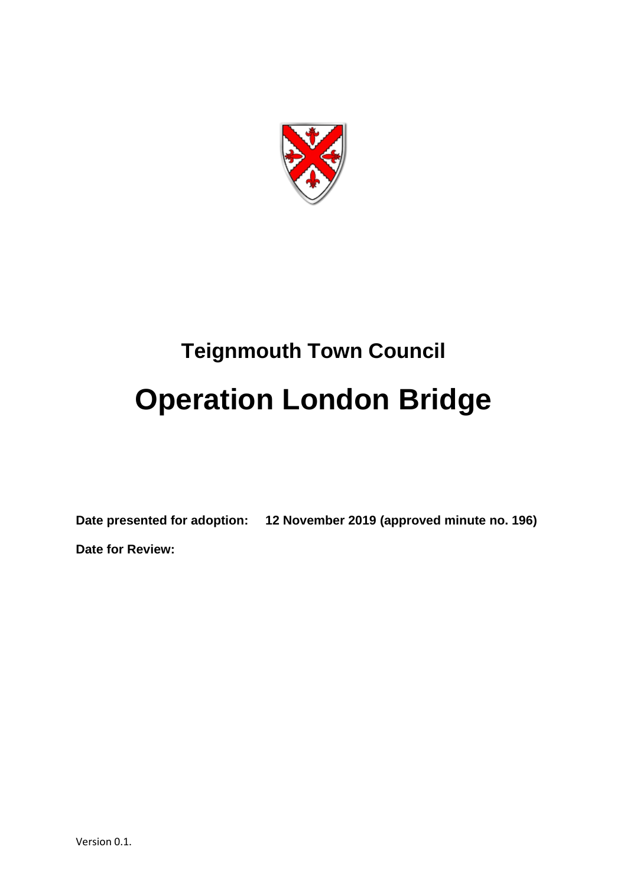

# **Teignmouth Town Council Operation London Bridge**

**Date presented for adoption: 12 November 2019 (approved minute no. 196) Date for Review:**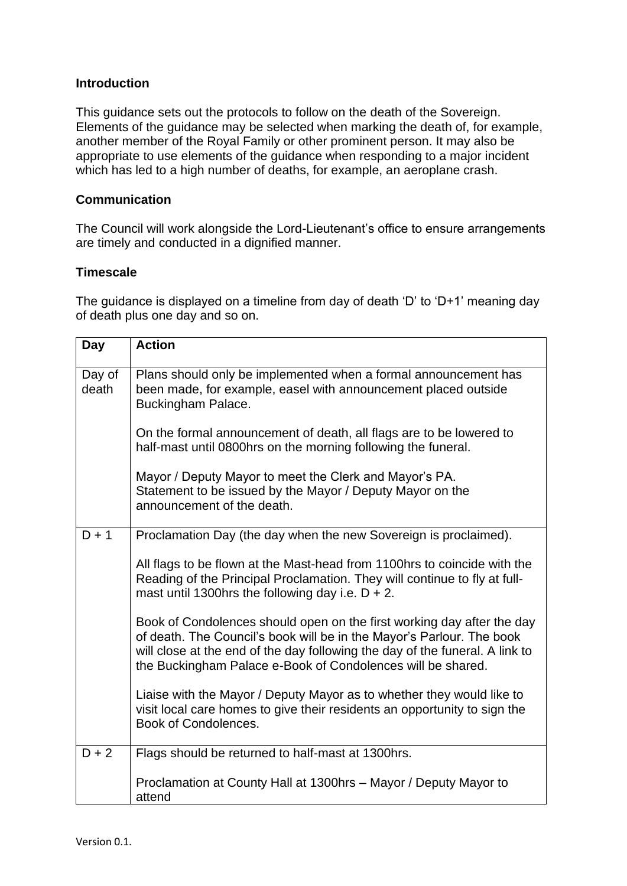## **Introduction**

This guidance sets out the protocols to follow on the death of the Sovereign. Elements of the guidance may be selected when marking the death of, for example, another member of the Royal Family or other prominent person. It may also be appropriate to use elements of the guidance when responding to a major incident which has led to a high number of deaths, for example, an aeroplane crash.

# **Communication**

The Council will work alongside the Lord-Lieutenant's office to ensure arrangements are timely and conducted in a dignified manner.

# **Timescale**

The guidance is displayed on a timeline from day of death 'D' to 'D+1' meaning day of death plus one day and so on.

| Day             | <b>Action</b>                                                                                                                                                                                                                                                                                  |
|-----------------|------------------------------------------------------------------------------------------------------------------------------------------------------------------------------------------------------------------------------------------------------------------------------------------------|
| Day of<br>death | Plans should only be implemented when a formal announcement has<br>been made, for example, easel with announcement placed outside<br>Buckingham Palace.                                                                                                                                        |
|                 | On the formal announcement of death, all flags are to be lowered to<br>half-mast until 0800hrs on the morning following the funeral.                                                                                                                                                           |
|                 | Mayor / Deputy Mayor to meet the Clerk and Mayor's PA.<br>Statement to be issued by the Mayor / Deputy Mayor on the<br>announcement of the death.                                                                                                                                              |
| $D + 1$         | Proclamation Day (the day when the new Sovereign is proclaimed).                                                                                                                                                                                                                               |
|                 | All flags to be flown at the Mast-head from 1100hrs to coincide with the<br>Reading of the Principal Proclamation. They will continue to fly at full-<br>mast until 1300hrs the following day i.e. $D + 2$ .                                                                                   |
|                 | Book of Condolences should open on the first working day after the day<br>of death. The Council's book will be in the Mayor's Parlour. The book<br>will close at the end of the day following the day of the funeral. A link to<br>the Buckingham Palace e-Book of Condolences will be shared. |
|                 | Liaise with the Mayor / Deputy Mayor as to whether they would like to<br>visit local care homes to give their residents an opportunity to sign the<br>Book of Condolences.                                                                                                                     |
| $D + 2$         | Flags should be returned to half-mast at 1300hrs.                                                                                                                                                                                                                                              |
|                 | Proclamation at County Hall at 1300hrs - Mayor / Deputy Mayor to<br>attend                                                                                                                                                                                                                     |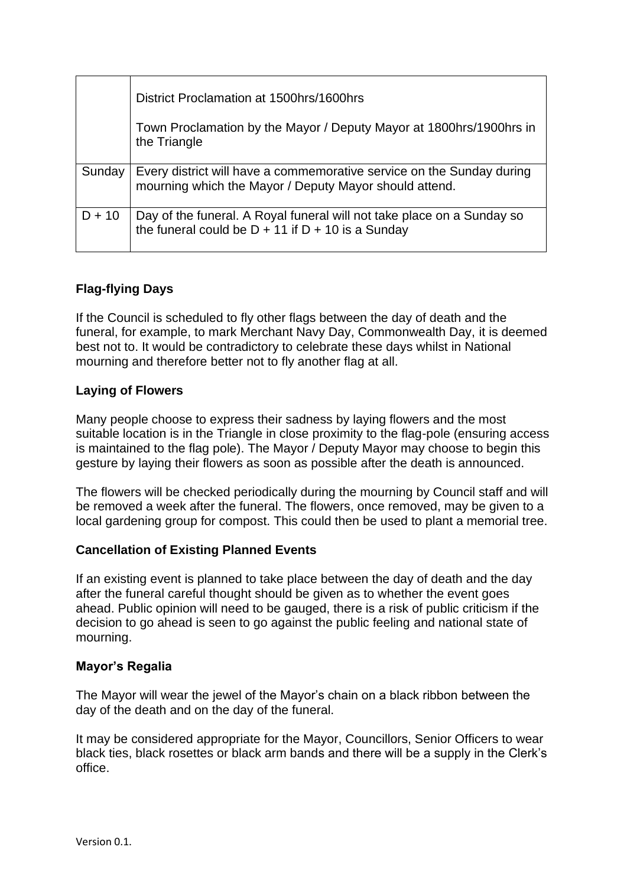|          | District Proclamation at 1500hrs/1600hrs                                                                                        |
|----------|---------------------------------------------------------------------------------------------------------------------------------|
|          | Town Proclamation by the Mayor / Deputy Mayor at 1800hrs/1900hrs in<br>the Triangle                                             |
| Sunday   | Every district will have a commemorative service on the Sunday during<br>mourning which the Mayor / Deputy Mayor should attend. |
| $D + 10$ | Day of the funeral. A Royal funeral will not take place on a Sunday so<br>the funeral could be $D + 11$ if $D + 10$ is a Sunday |

# **Flag-flying Days**

If the Council is scheduled to fly other flags between the day of death and the funeral, for example, to mark Merchant Navy Day, Commonwealth Day, it is deemed best not to. It would be contradictory to celebrate these days whilst in National mourning and therefore better not to fly another flag at all.

# **Laying of Flowers**

Many people choose to express their sadness by laying flowers and the most suitable location is in the Triangle in close proximity to the flag-pole (ensuring access is maintained to the flag pole). The Mayor / Deputy Mayor may choose to begin this gesture by laying their flowers as soon as possible after the death is announced.

The flowers will be checked periodically during the mourning by Council staff and will be removed a week after the funeral. The flowers, once removed, may be given to a local gardening group for compost. This could then be used to plant a memorial tree.

# **Cancellation of Existing Planned Events**

If an existing event is planned to take place between the day of death and the day after the funeral careful thought should be given as to whether the event goes ahead. Public opinion will need to be gauged, there is a risk of public criticism if the decision to go ahead is seen to go against the public feeling and national state of mourning.

## **Mayor's Regalia**

The Mayor will wear the jewel of the Mayor's chain on a black ribbon between the day of the death and on the day of the funeral.

It may be considered appropriate for the Mayor, Councillors, Senior Officers to wear black ties, black rosettes or black arm bands and there will be a supply in the Clerk's office.